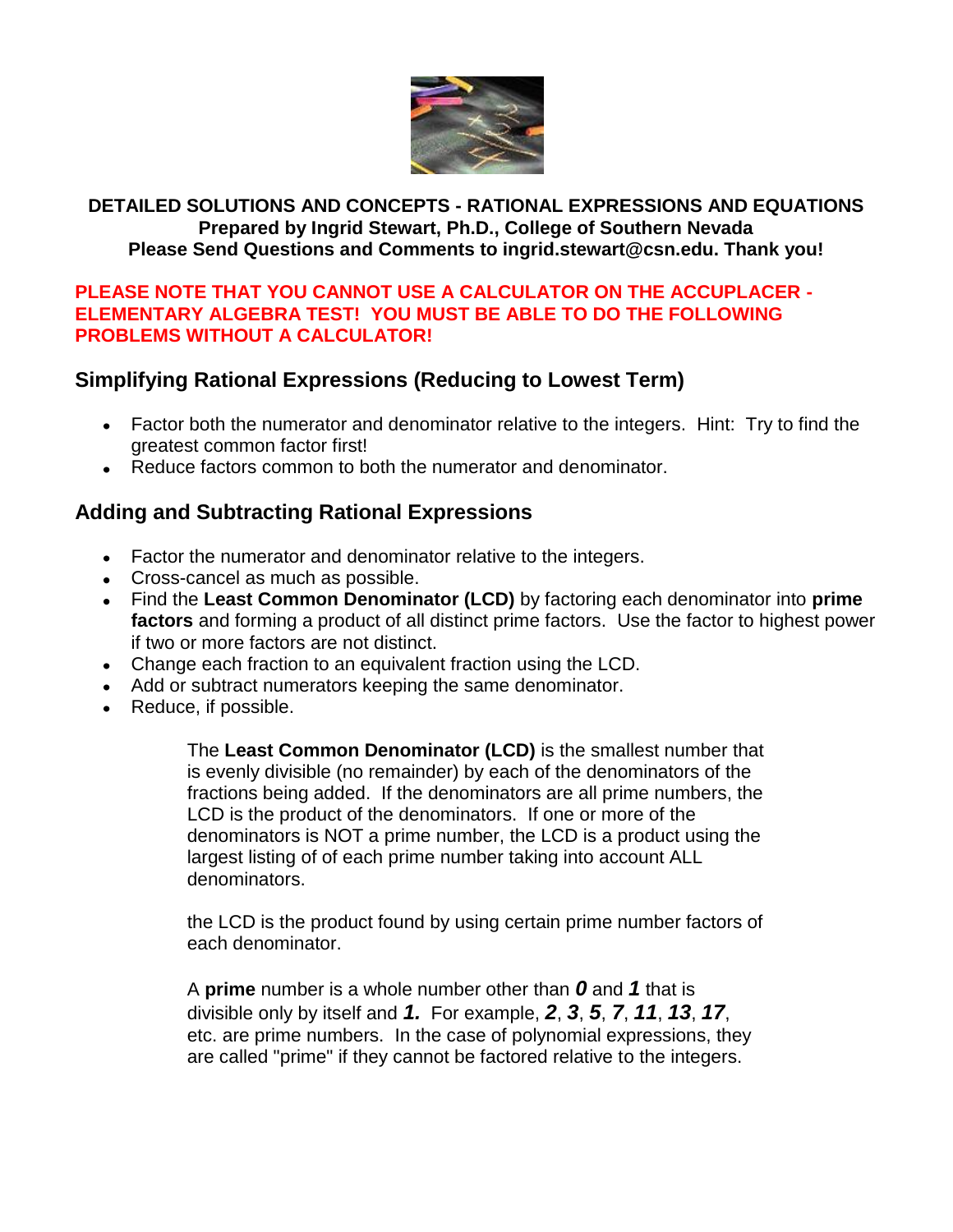

## **DETAILED SOLUTIONS AND CONCEPTS - RATIONAL EXPRESSIONS AND EQUATIONS Prepared by Ingrid Stewart, Ph.D., College of Southern Nevada Please Send Questions and Comments to ingrid.stewart@csn.edu. Thank you!**

### **PLEASE NOTE THAT YOU CANNOT USE A CALCULATOR ON THE ACCUPLACER - ELEMENTARY ALGEBRA TEST! YOU MUST BE ABLE TO DO THE FOLLOWING PROBLEMS WITHOUT A CALCULATOR!**

# **Simplifying Rational Expressions (Reducing to Lowest Term)**

- Factor both the numerator and denominator relative to the integers. Hint: Try to find the greatest common factor first!
- Reduce factors common to both the numerator and denominator.

# **Adding and Subtracting Rational Expressions**

- Factor the numerator and denominator relative to the integers.
- Cross-cancel as much as possible.
- Find the **Least Common Denominator (LCD)** by factoring each denominator into **prime factors** and forming a product of all distinct prime factors. Use the factor to highest power if two or more factors are not distinct.
- Change each fraction to an equivalent fraction using the LCD.
- Add or subtract numerators keeping the same denominator.
- Reduce, if possible.

The **Least Common Denominator (LCD)** is the smallest number that is evenly divisible (no remainder) by each of the denominators of the fractions being added. If the denominators are all prime numbers, the LCD is the product of the denominators. If one or more of the denominators is NOT a prime number, the LCD is a product using the largest listing of of each prime number taking into account ALL denominators.

the LCD is the product found by using certain prime number factors of each denominator.

A **prime** number is a whole number other than *0* and *1* that is divisible only by itself and *1.* For example, *2*, *3*, *5*, *7*, *11*, *13*, *17*, etc. are prime numbers. In the case of polynomial expressions, they are called "prime" if they cannot be factored relative to the integers.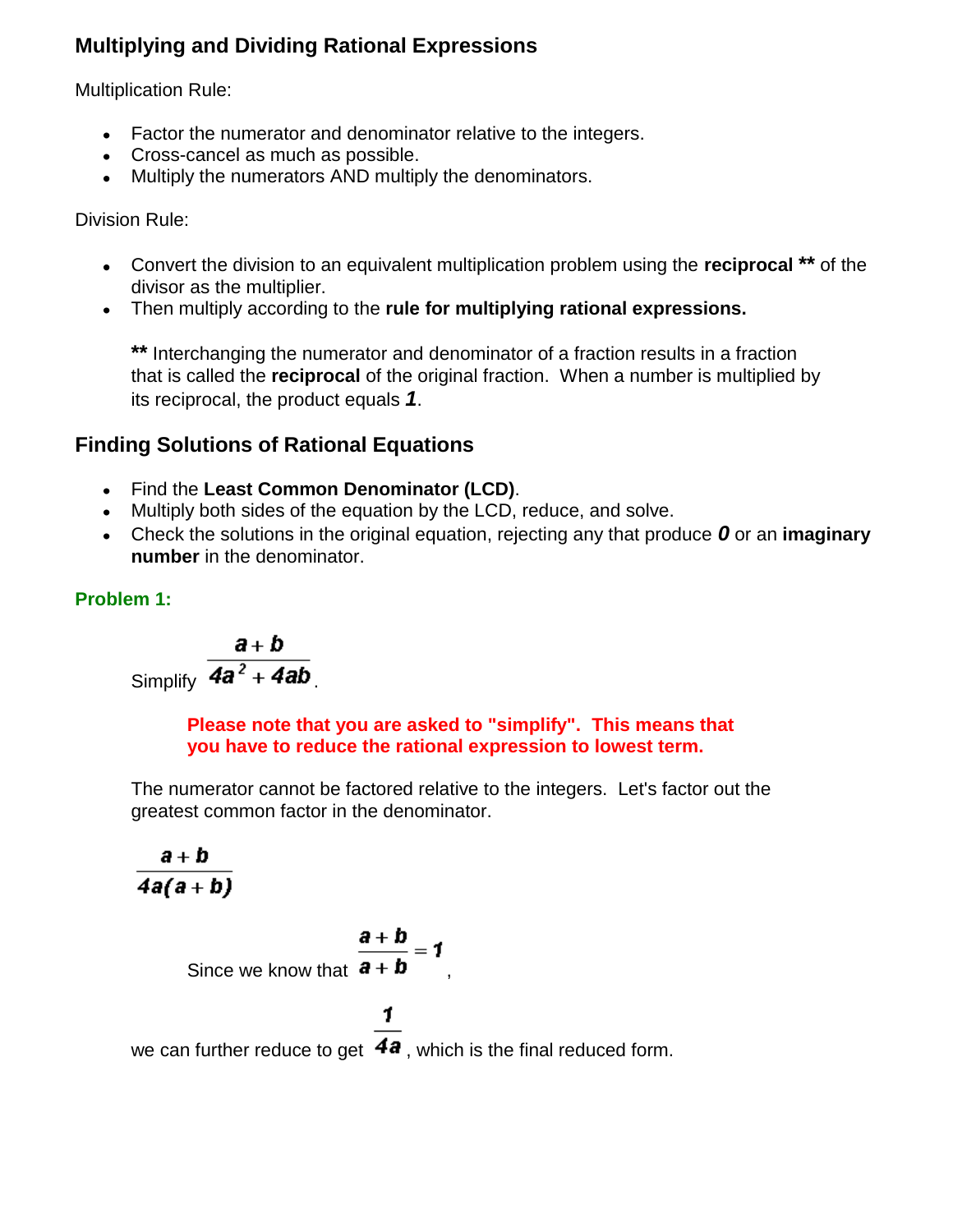# **Multiplying and Dividing Rational Expressions**

Multiplication Rule:

- Factor the numerator and denominator relative to the integers.
- Cross-cancel as much as possible.
- Multiply the numerators AND multiply the denominators.

Division Rule:

- Convert the division to an equivalent multiplication problem using the **reciprocal \*\*** of the divisor as the multiplier.
- Then multiply according to the **rule for multiplying rational expressions.**

**\*\*** Interchanging the numerator and denominator of a fraction results in a fraction that is called the **reciprocal** of the original fraction. When a number is multiplied by its reciprocal, the product equals *1*.

# **Finding Solutions of Rational Equations**

- Find the **Least Common Denominator (LCD)**.
- Multiply both sides of the equation by the LCD, reduce, and solve.
- Check the solutions in the original equation, rejecting any that produce *0* or an **imaginary number** in the denominator.

## **Problem 1:**

$$
\frac{a+b}{Simplify} \frac{a+b}{4a^2+4ab}
$$

**Please note that you are asked to "simplify". This means that you have to reduce the rational expression to lowest term.**

The numerator cannot be factored relative to the integers. Let's factor out the greatest common factor in the denominator.

$$
\frac{a+b}{4a(a+b)}
$$

Since we know that 
$$
\frac{\mathbf{a} + \mathbf{b}}{\mathbf{a} + \mathbf{b}} = \mathbf{1}
$$

1

we can further reduce to get  $\overline{4a}$ , which is the final reduced form.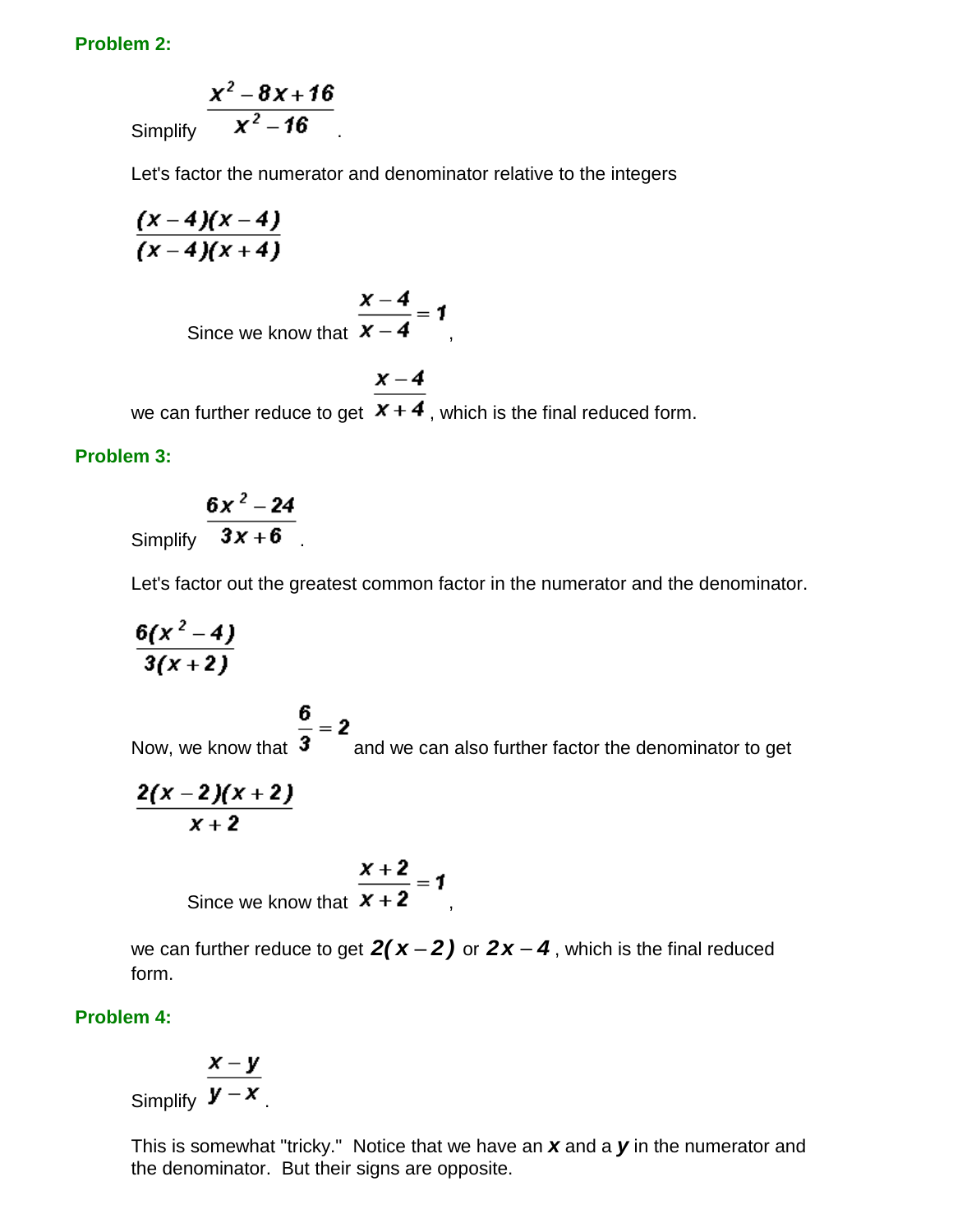### **Problem 2:**

Simplify 
$$
\frac{x^2-8x+16}{x^2-16}
$$

Let's factor the numerator and denominator relative to the integers

$$
\frac{(x-4)(x-4)}{(x-4)(x+4)}
$$

Since we know that 
$$
\frac{x-4}{x-4} = 1
$$

 $x - 4$ we can further reduce to get  $\overline{x+4}$ , which is the final reduced form.

#### **Problem 3:**

Simplify 
$$
\frac{6x^2-24}{3x+6}
$$

Let's factor out the greatest common factor in the numerator and the denominator.

$$
\frac{6(x^2-4)}{3(x+2)}
$$

Now, we know that  $\frac{6}{3}$  = 2<br>Now, we know that  $\frac{6}{3}$  and we can also further factor the denominator to get

$$
\frac{2(x-2)(x+2)}{x+2}
$$

Since we know that 
$$
\frac{x+2}{x+2} = 1
$$

we can further reduce to get  $2(x-2)$  or  $2x-4$ , which is the final reduced form.

### **Problem 4:**

$$
\frac{x-1}{x-1}
$$

Simplify  $\frac{x-y}{y-x}$ .

This is somewhat "tricky." Notice that we have an *x* and a *y* in the numerator and the denominator. But their signs are opposite.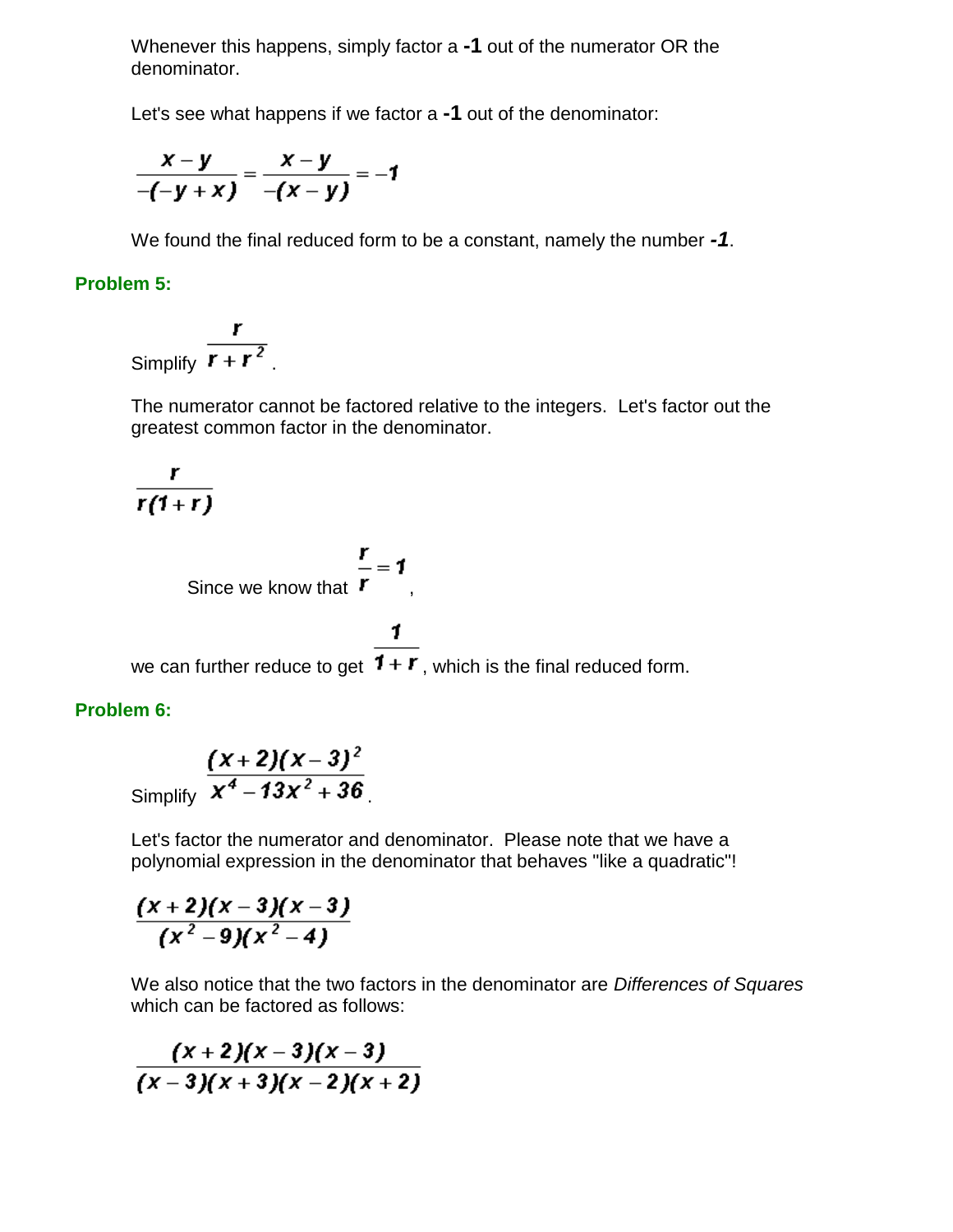Whenever this happens, simply factor a **-1** out of the numerator OR the denominator.

Let's see what happens if we factor a **-1** out of the denominator:

$$
\frac{x-y}{-(-y+x)}=\frac{x-y}{-(x-y)}=-1
$$

We found the final reduced form to be a constant, namely the number *-1*.

## **Problem 5:**

Simplify  $\frac{r}{r+r^2}$ .

The numerator cannot be factored relative to the integers. Let's factor out the greatest common factor in the denominator.

$$
\frac{r}{r(1+r)}
$$

Since we know that 
$$
\frac{r}{r} = 1
$$
,

1

we can further reduce to get  $1 + r$ , which is the final reduced form.

## **Problem 6:**

Simplify 
$$
\frac{(x+2)(x-3)^2}{x^4-13x^2+36}
$$

Let's factor the numerator and denominator. Please note that we have a polynomial expression in the denominator that behaves "like a quadratic"!

$$
\frac{(x+2)(x-3)(x-3)}{(x^2-9)(x^2-4)}
$$

We also notice that the two factors in the denominator are *Differences of Squares* which can be factored as follows:

$$
\frac{(x+2)(x-3)(x-3)}{(x-3)(x+3)(x-2)(x+2)}
$$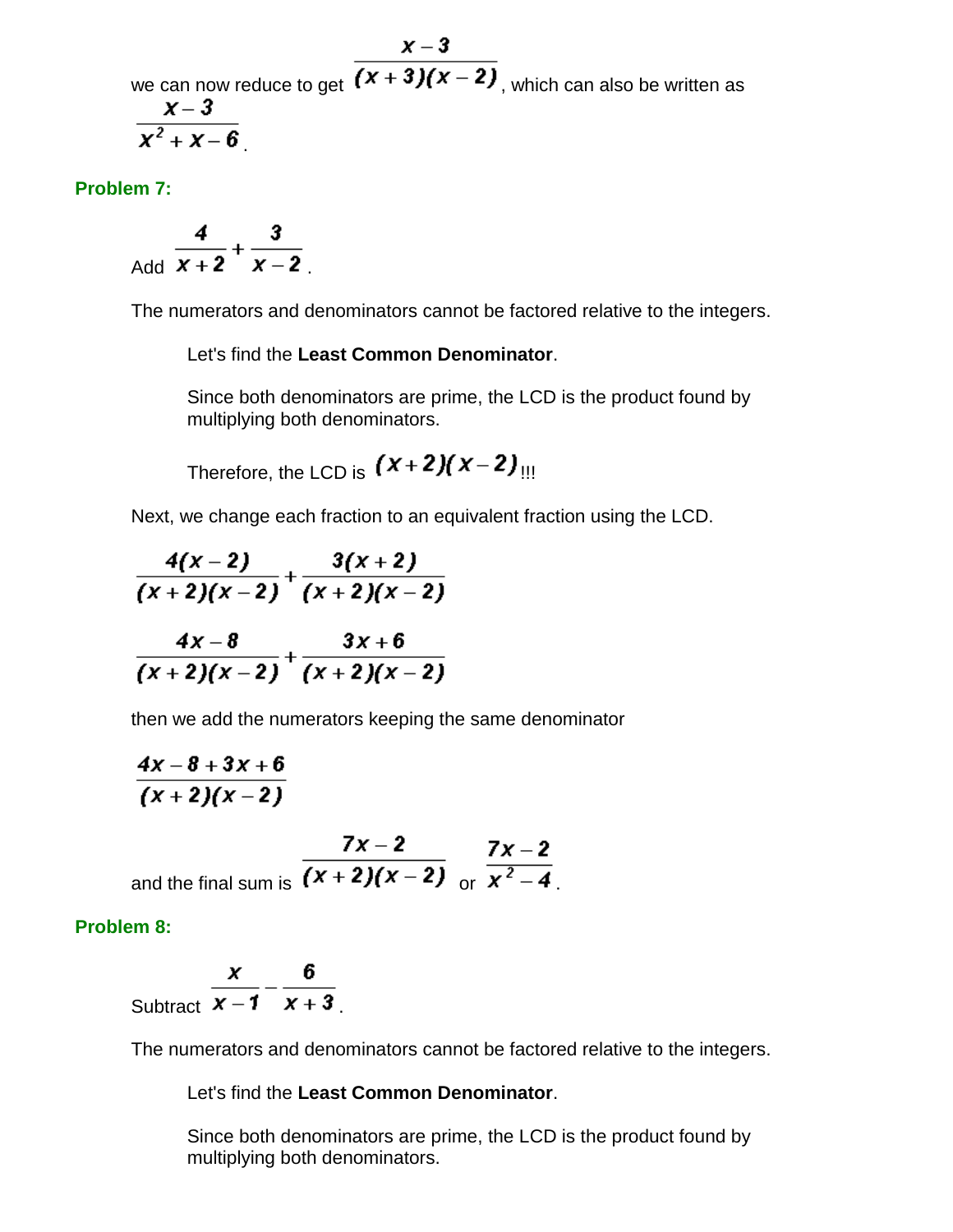$x - 3$ we can now reduce to get  $\sqrt{(x+3)(x-2)}$ , which can also be written as  $X - 3$  $\overline{x^2 + x - 6}$ 

**Problem 7:**

Add  $\frac{4}{x+2} + \frac{3}{x-2}$ 

The numerators and denominators cannot be factored relative to the integers.

Let's find the **Least Common Denominator**.

Since both denominators are prime, the LCD is the product found by multiplying both denominators.

Therefore, the LCD is  $(x+2)(x-2)$ 

Next, we change each fraction to an equivalent fraction using the LCD.

$$
\frac{4(x-2)}{(x+2)(x-2)} + \frac{3(x+2)}{(x+2)(x-2)}
$$
  

$$
\frac{4x-8}{(x+2)(x-2)} + \frac{3x+6}{(x+2)(x-2)}
$$

then we add the numerators keeping the same denominator

$$
\frac{4x-8+3x+6}{(x+2)(x-2)}
$$

and the final sum is 
$$
\frac{7x-2}{(x+2)(x-2)} \frac{7x-2}{\text{or } x^2-4}
$$

**Problem 8:**

Subtract 
$$
\frac{x}{x-1} - \frac{6}{x+3}
$$

The numerators and denominators cannot be factored relative to the integers.

Let's find the **Least Common Denominator**.

Since both denominators are prime, the LCD is the product found by multiplying both denominators.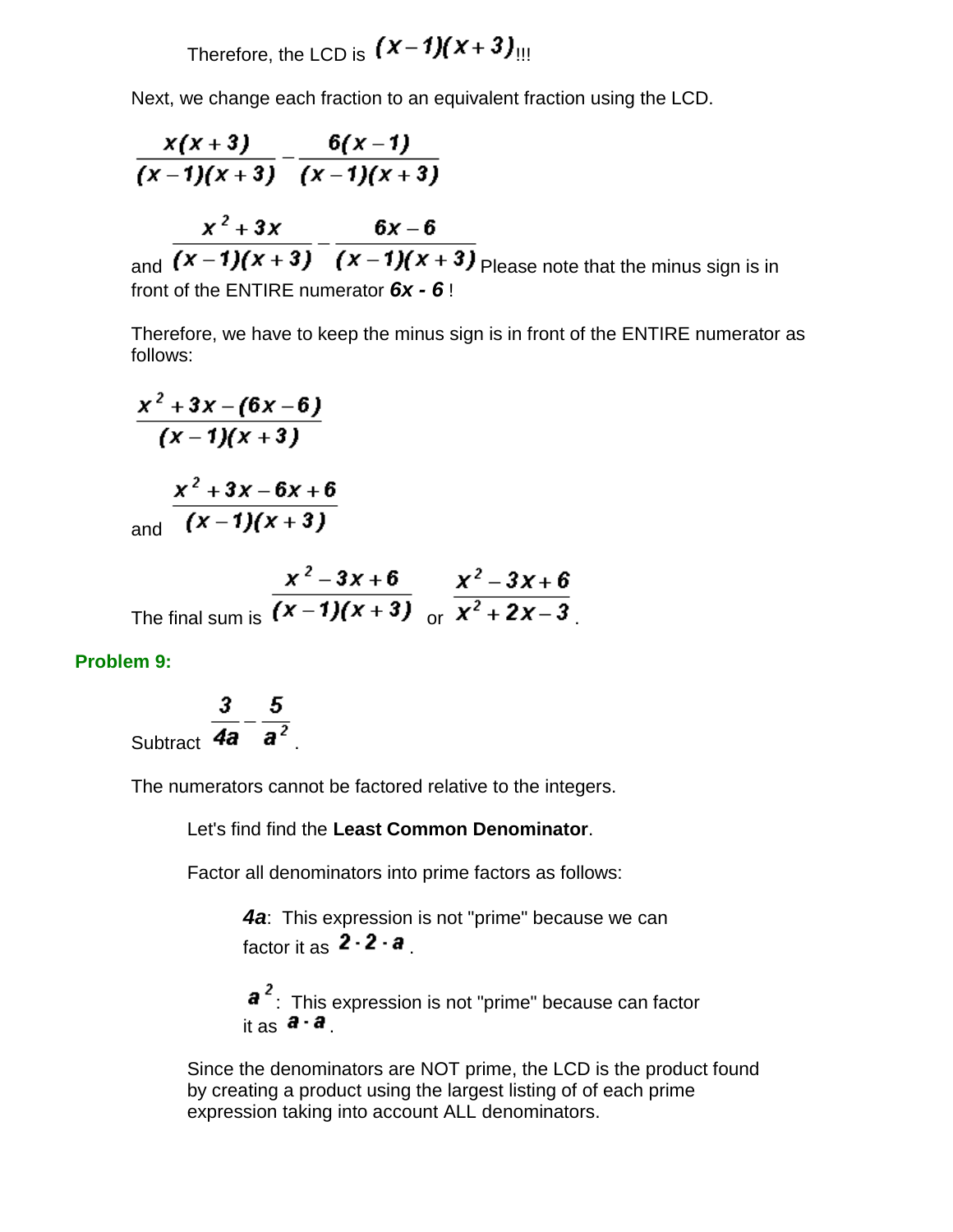Therefore, the LCD is  $(x-1)(x+3)$ 

Next, we change each fraction to an equivalent fraction using the LCD.

$$
\frac{x(x+3)}{(x-1)(x+3)} - \frac{6(x-1)}{(x-1)(x+3)}
$$
\n
$$
\frac{x^2 + 3x}{(x-1)(x+3)} - \frac{6x-6}{(x-1)(x+3)}
$$
\n
$$
\frac{x^2 + 3x}{(x-1)(x+3)} = \frac{6x-6}{(x-1)(x+3)}
$$
\n
$$
\frac{6x-6}{(x-1)(x+3)} = \frac{6x-6}{(x-1)(x+3)}
$$
\n
$$
\frac{6x-6}{(x-1)(x+3)} = \frac{6x-6}{(x-1)(x+3)}
$$
\n
$$
\frac{6x-6}{(x-1)(x+3)} = \frac{6x-6}{(x-1)(x+3)}
$$
\n
$$
\frac{6x-6}{(x-1)(x+3)} = \frac{6x-6}{(x-1)(x+3)}
$$
\n
$$
\frac{6x-6}{(x-1)(x+3)} = \frac{6x-6}{(x-1)(x+3)}
$$

Therefore, we have to keep the minus sign is in front of the ENTIRE numerator as follows:

$$
\frac{x^2+3x-(6x-6)}{(x-1)(x+3)}
$$
  

$$
\frac{x^2+3x-6x+6}{(x-1)(x+3)}
$$

and

The final sum is 
$$
\frac{x^2 - 3x + 6}{(x - 1)(x + 3)} \frac{x^2 - 3x + 6}{x^2 + 2x - 3}
$$

#### **Problem 9:**

Subtract  $\frac{3}{4a} - \frac{5}{a^2}$ 

The numerators cannot be factored relative to the integers.

Let's find find the **Least Common Denominator**.

Factor all denominators into prime factors as follows:

*4a*: This expression is not "prime" because we can factor it as  $2 \cdot 2 \cdot a$ .

 $a^2$ : This expression is not "prime" because can factor it as  $\mathbf{a} \cdot \mathbf{a}$ .

Since the denominators are NOT prime, the LCD is the product found by creating a product using the largest listing of of each prime expression taking into account ALL denominators.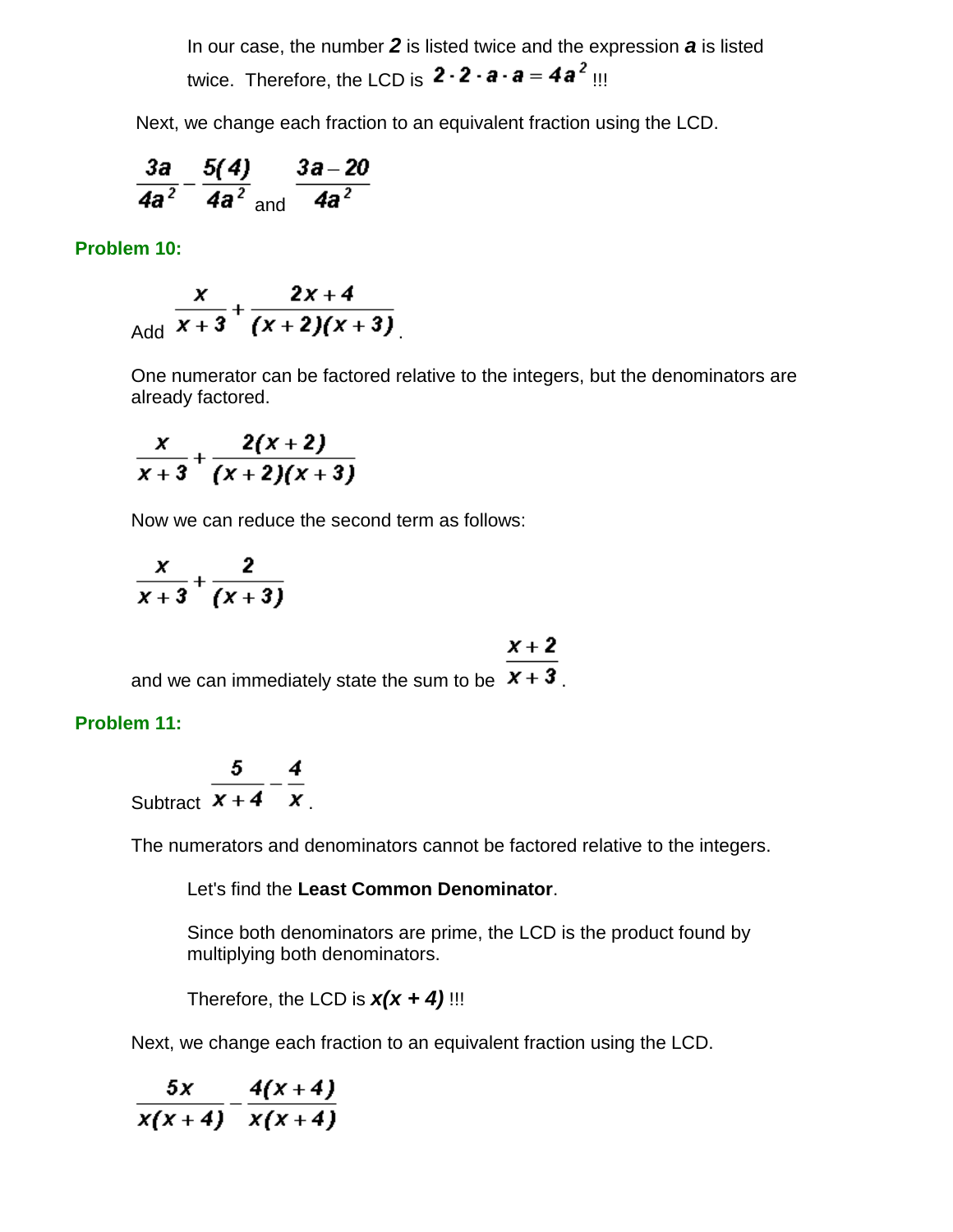In our case, the number *2* is listed twice and the expression *a* is listed twice. Therefore, the LCD is  $2 \cdot 2 \cdot a \cdot a = 4a^2$  !!!

Next, we change each fraction to an equivalent fraction using the LCD.

$$
\frac{3a}{4a^2} - \frac{5(4)}{4a^2} \frac{3a-20}{4a^2}
$$

**Problem 10:**

$$
\frac{x}{\text{Add}} + \frac{2x+4}{(x+2)(x+3)}.
$$

One numerator can be factored relative to the integers, but the denominators are already factored.

$$
\frac{x}{x+3}+\frac{2(x+2)}{(x+2)(x+3)}
$$

Now we can reduce the second term as follows:

$$
\frac{x}{x+3}+\frac{2}{(x+3)}
$$

 $x + 2$ 

and we can immediately state the sum to be  $x + 3$ .

#### **Problem 11:**

Subtract 
$$
\frac{5}{x+4} - \frac{4}{x}
$$

The numerators and denominators cannot be factored relative to the integers.

Let's find the **Least Common Denominator**.

Since both denominators are prime, the LCD is the product found by multiplying both denominators.

Therefore, the LCD is  $x(x + 4)$ !!!

Next, we change each fraction to an equivalent fraction using the LCD.

$$
\frac{5x}{x(x+4)}-\frac{4(x+4)}{x(x+4)}
$$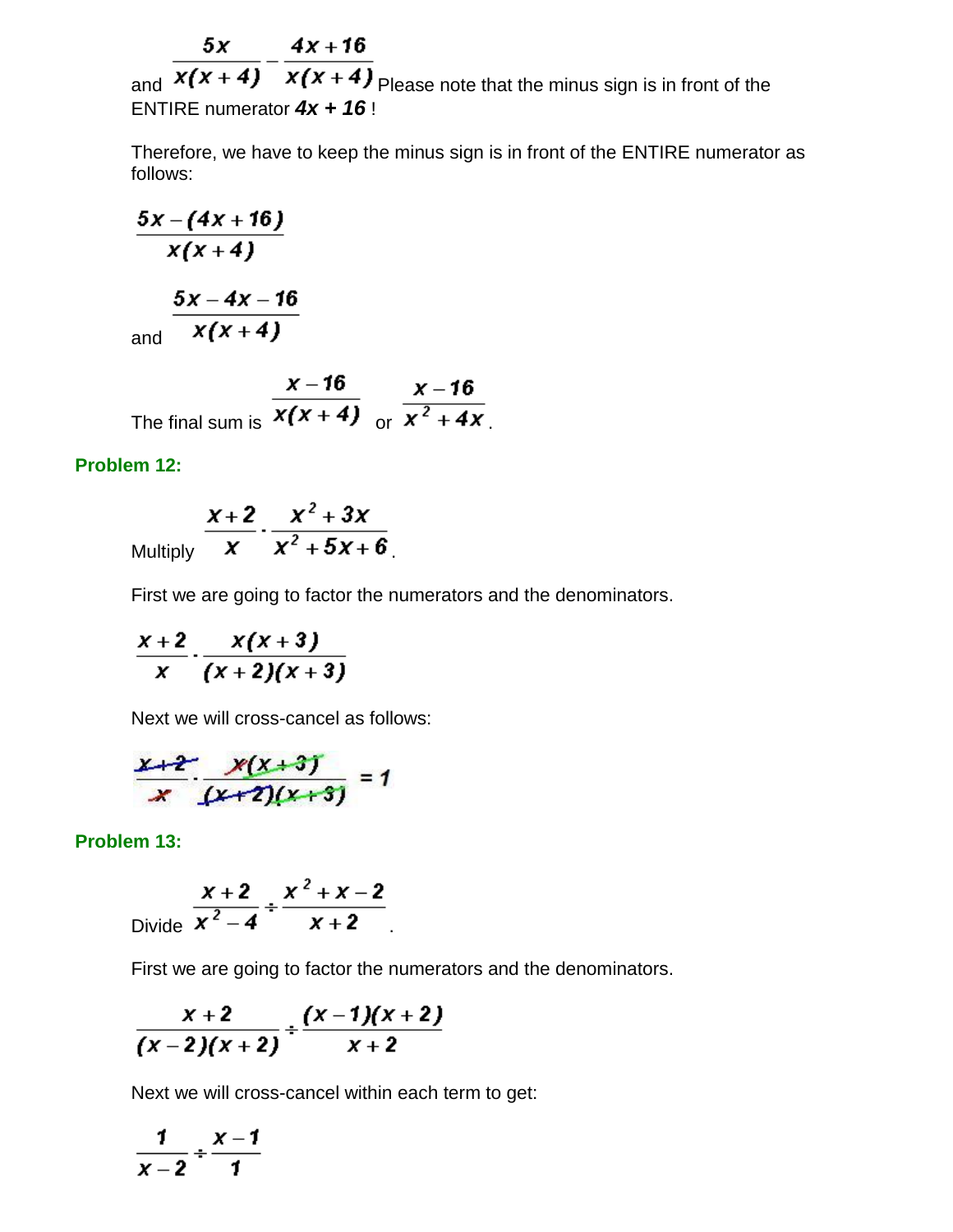$5x$   $4x+16$ 

and  $\overline{x(x+4)}$   $\overline{x(x+4)}$  Please note that the minus sign is in front of the ENTIRE numerator *4x + 16* !

Therefore, we have to keep the minus sign is in front of the ENTIRE numerator as follows:

$$
\frac{5x-(4x+16)}{x(x+4)}
$$
\n
$$
\frac{5x-4x-16}{x(x+4)}
$$

The final sum is  $\frac{x-16}{x(x+4)}$  or  $\frac{x-16}{x^2+4x}$ .

## **Problem 12:**

$$
\frac{x+2}{x} \cdot \frac{x^2+3x}{x^2+5x+6}
$$

First we are going to factor the numerators and the denominators.

$$
\frac{x+2}{x}\cdot\frac{x(x+3)}{(x+2)(x+3)}
$$

Next we will cross-cancel as follows:

$$
\frac{x+2}{x} \cdot \frac{x(x+3)}{(x+2)(x+3)} = 1
$$

**Problem 13:**

Divide 
$$
\frac{x+2}{x^2-4} \div \frac{x^2+x-2}{x+2}
$$

First we are going to factor the numerators and the denominators.

$$
\frac{x+2}{(x-2)(x+2)}+\frac{(x-1)(x+2)}{x+2}
$$

Next we will cross-cancel within each term to get:

$$
\frac{1}{x-2} \div \frac{x-1}{1}
$$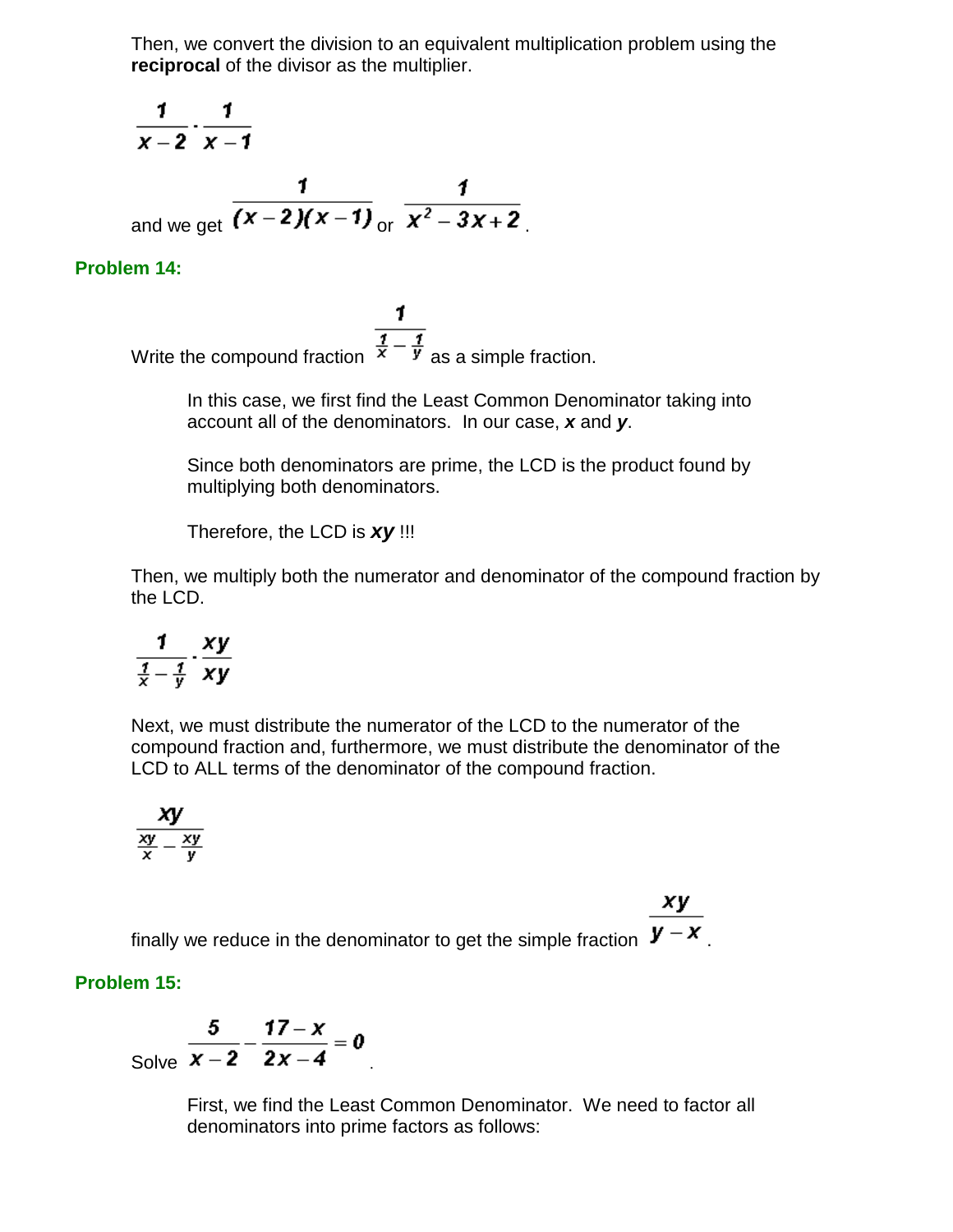Then, we convert the division to an equivalent multiplication problem using the **reciprocal** of the divisor as the multiplier.

$$
\frac{1}{x-2} \cdot \frac{1}{x-1}
$$
  
and we get  $\frac{1}{(x-2)(x-1)} \cdot \frac{1}{x^2-3x+2}$ .

### **Problem 14:**

1. Write the compound fraction  $\frac{\overline{i} - \overline{j}}{x - \overline{y}}$  as a simple fraction.

> In this case, we first find the Least Common Denominator taking into account all of the denominators. In our case, *x* and *y*.

> Since both denominators are prime, the LCD is the product found by multiplying both denominators.

Therefore, the LCD is *xy* !!!

Then, we multiply both the numerator and denominator of the compound fraction by the LCD.

$$
\frac{1}{\frac{1}{x}-\frac{1}{y}}\cdot\frac{xy}{xy}
$$

Next, we must distribute the numerator of the LCD to the numerator of the compound fraction and, furthermore, we must distribute the denominator of the LCD to ALL terms of the denominator of the compound fraction.

$$
\frac{xy}{\frac{xy}{x}-\frac{xy}{y}}
$$

xy finally we reduce in the denominator to get the simple fraction  $\mathbf{y} - \mathbf{x}$ .

### **Problem 15:**

Solve 
$$
\frac{5}{x-2} - \frac{17-x}{2x-4} = 0
$$

First, we find the Least Common Denominator. We need to factor all denominators into prime factors as follows: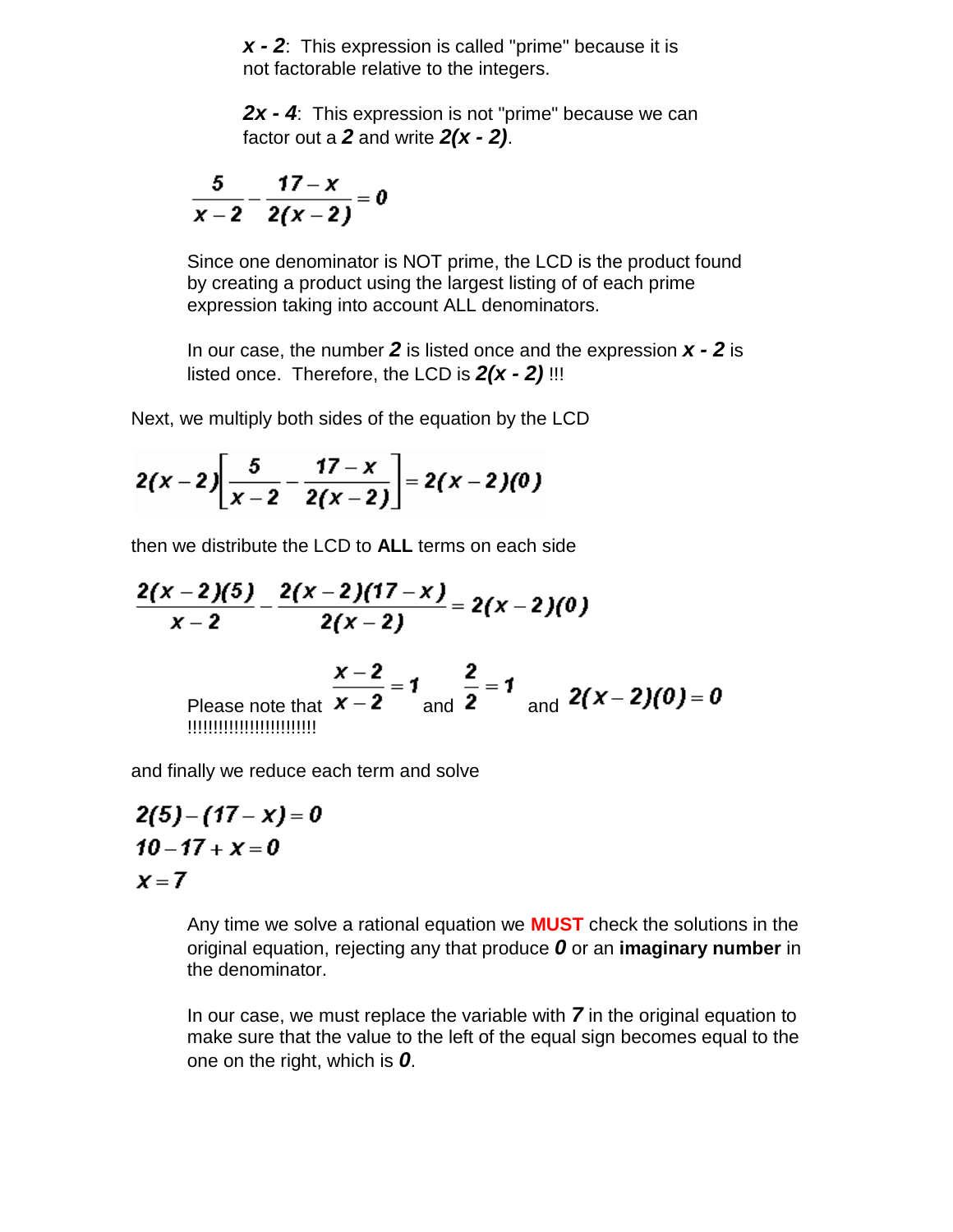*x - 2*: This expression is called "prime" because it is not factorable relative to the integers.

*2x - 4*: This expression is not "prime" because we can factor out a *2* and write *2(x - 2)*.

$$
\frac{5}{x-2}-\frac{17-x}{2(x-2)}=0
$$

Since one denominator is NOT prime, the LCD is the product found by creating a product using the largest listing of of each prime expression taking into account ALL denominators.

In our case, the number *2* is listed once and the expression *x - 2* is listed once. Therefore, the LCD is *2(x - 2)* !!!

Next, we multiply both sides of the equation by the LCD

$$
2(x-2)\left[\frac{5}{x-2}-\frac{17-x}{2(x-2)}\right]=2(x-2)(0)
$$

then we distribute the LCD to **ALL** terms on each side

Please note that and and !!!!!!!!!!!!!!!!!!!!!!!!!

and finally we reduce each term and solve

$$
2(5) - (17 - x) = 0
$$
  
10 - 17 + x = 0  
x = 7

Any time we solve a rational equation we **MUST** check the solutions in the original equation, rejecting any that produce *0* or an **imaginary number** in the denominator.

In our case, we must replace the variable with *7* in the original equation to make sure that the value to the left of the equal sign becomes equal to the one on the right, which is *0*.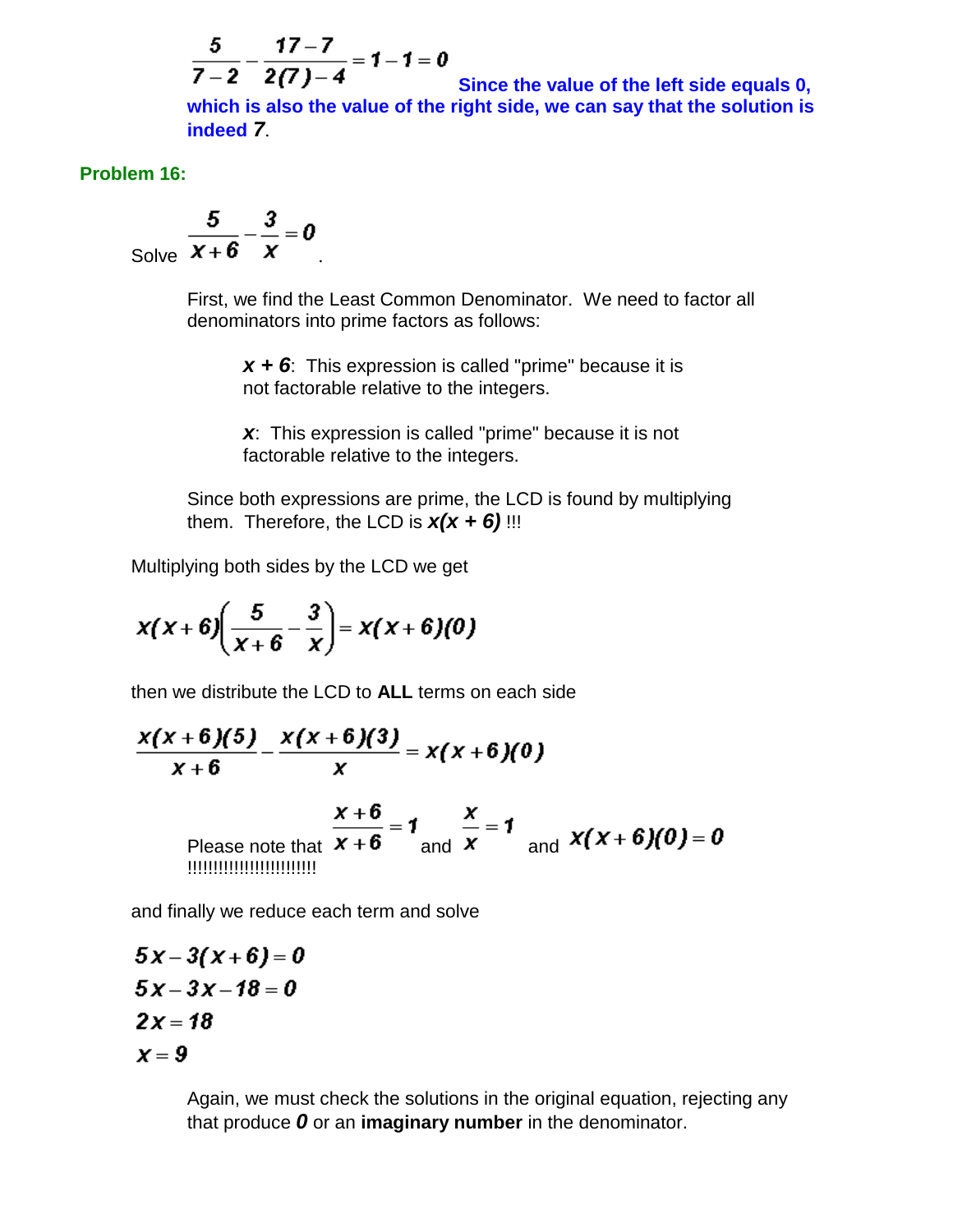$$
\frac{5}{7-2} - \frac{17-7}{2(7)-4} = 1 - 1 = 0
$$

 $2(1) - 4$ **Since the value of the left side equals 0, which is also the value of the right side, we can say that the solution is indeed** *7*.

### **Problem 16:**

Solve 
$$
\frac{5}{x+6} - \frac{3}{x} = 0
$$

First, we find the Least Common Denominator. We need to factor all denominators into prime factors as follows:

*x + 6*: This expression is called "prime" because it is not factorable relative to the integers.

*x*: This expression is called "prime" because it is not factorable relative to the integers.

Since both expressions are prime, the LCD is found by multiplying them. Therefore, the LCD is  $x(x + 6)$ !!!

Multiplying both sides by the LCD we get

$$
x(x+6)\left(\frac{5}{x+6}-\frac{3}{x}\right)=x(x+6)(0)
$$

then we distribute the LCD to **ALL** terms on each side

$$
\frac{x(x+6)(5)}{x+6} - \frac{x(x+6)(3)}{x} = x(x+6)(0)
$$
  
Please note that  $\frac{x+6}{x+6} = 1$  and  $\frac{x}{x} = 1$  and  $x(x+6)(0) = 0$   
minimum

and finally we reduce each term and solve

$$
5x-3(x+6)=0
$$
  
\n
$$
5x-3x-18=0
$$
  
\n
$$
2x=18
$$
  
\n
$$
x=9
$$

Again, we must check the solutions in the original equation, rejecting any that produce *0* or an **imaginary number** in the denominator.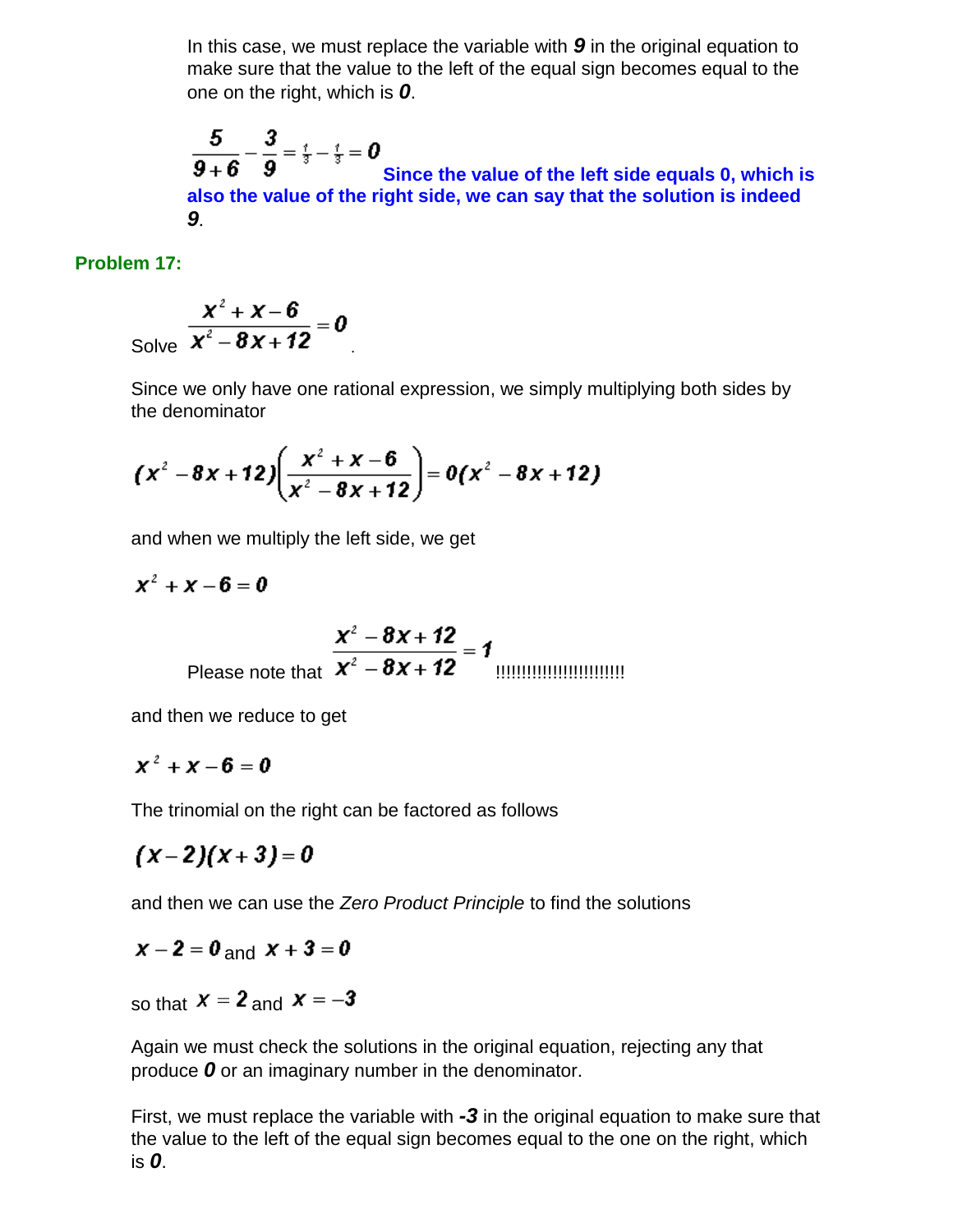In this case, we must replace the variable with *9* in the original equation to make sure that the value to the left of the equal sign becomes equal to the one on the right, which is *0*.

$$
\frac{5}{9+6} - \frac{3}{9} = \frac{7}{3} - \frac{7}{3} = 0
$$
  
Since the value of the left side equals 0, which is  
also the value of the right side, we can say that the solution is indeed  
9.

## **Problem 17:**

Solve 
$$
\frac{x^2 + x - 6}{x^2 - 8x + 12} = 0
$$

Since we only have one rational expression, we simply multiplying both sides by the denominator

$$
(x^2-8x+12)\left(\frac{x^2+x-6}{x^2-8x+12}\right)=0(x^2-8x+12)
$$

and when we multiply the left side, we get

$$
x^2 + x - 6 = 0
$$

Please note that !!!!!!!!!!!!!!!!!!!!!!!!!

and then we reduce to get

$$
x^2 + x - 6 = 0
$$

The trinomial on the right can be factored as follows

$$
(x-2)(x+3)=0
$$

and then we can use the *Zero Product Principle* to find the solutions

$$
x-2=0 \text{ and } x+3=0
$$

so that  $x = 2$  and  $x = -3$ 

Again we must check the solutions in the original equation, rejecting any that produce *0* or an imaginary number in the denominator.

First, we must replace the variable with *-3* in the original equation to make sure that the value to the left of the equal sign becomes equal to the one on the right, which is *0*.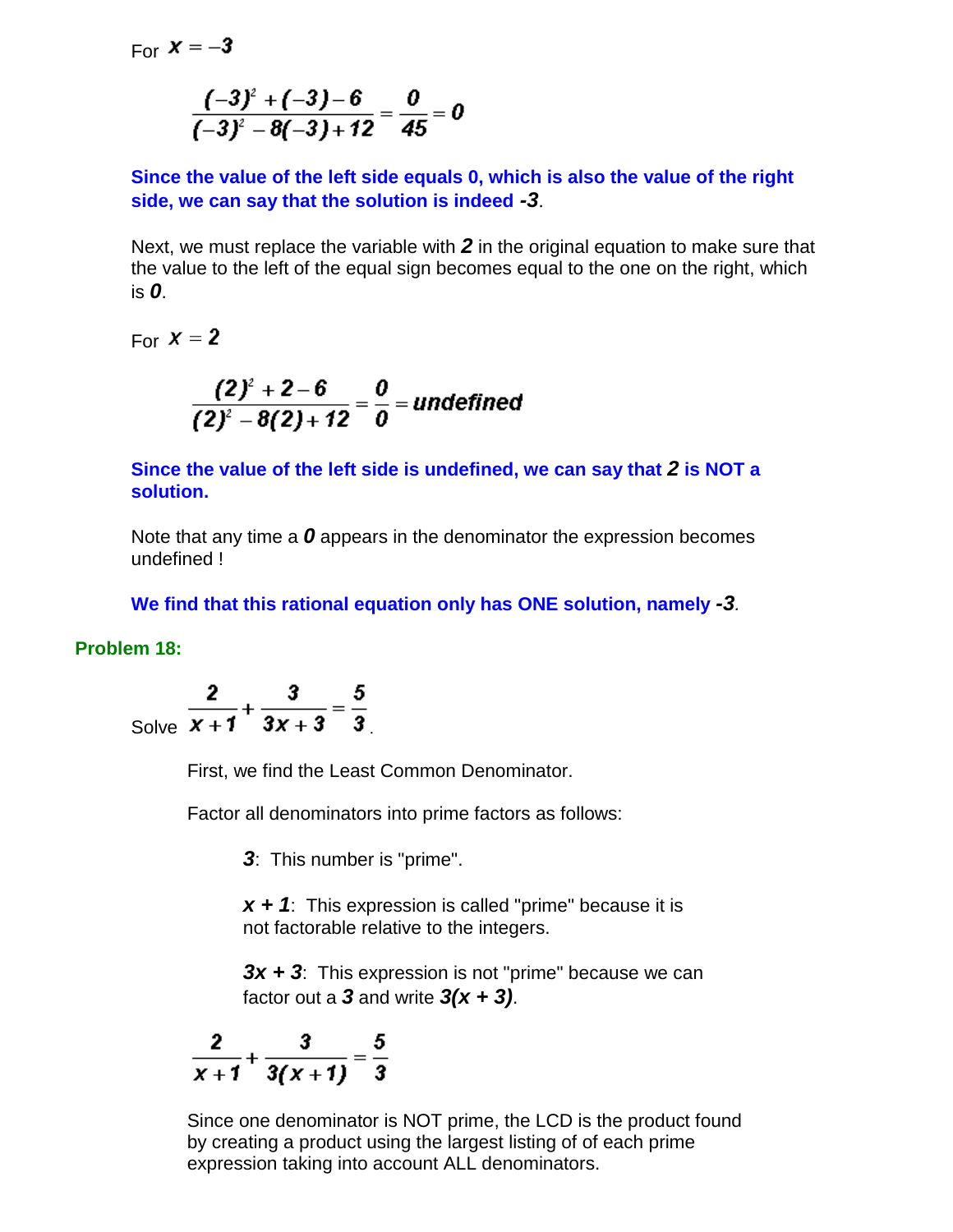For  $x = -3$ 

$$
\frac{(-3)^2+(-3)-6}{(-3)^2-8(-3)+12}=\frac{0}{45}=0
$$

**Since the value of the left side equals 0, which is also the value of the right side, we can say that the solution is indeed** *-3*.

Next, we must replace the variable with *2* in the original equation to make sure that the value to the left of the equal sign becomes equal to the one on the right, which is *0*.

For  $X = 2$ 

$$
\frac{(2)^2+2-6}{(2)^2-8(2)+12}=\frac{0}{0}=undefined
$$

**Since the value of the left side is undefined, we can say that** *2* **is NOT a solution.**

Note that any time a *0* appears in the denominator the expression becomes undefined !

**We find that this rational equation only has ONE solution, namely** *-3.*

### **Problem 18:**

Solve 
$$
\frac{2}{x+1} + \frac{3}{3x+3} = \frac{5}{3}
$$

First, we find the Least Common Denominator.

Factor all denominators into prime factors as follows:

*3*: This number is "prime".

*x + 1*: This expression is called "prime" because it is not factorable relative to the integers.

*3x + 3*: This expression is not "prime" because we can factor out a *3* and write *3(x + 3)*.

$$
\frac{2}{x+1}+\frac{3}{3(x+1)}=\frac{5}{3}
$$

Since one denominator is NOT prime, the LCD is the product found by creating a product using the largest listing of of each prime expression taking into account ALL denominators.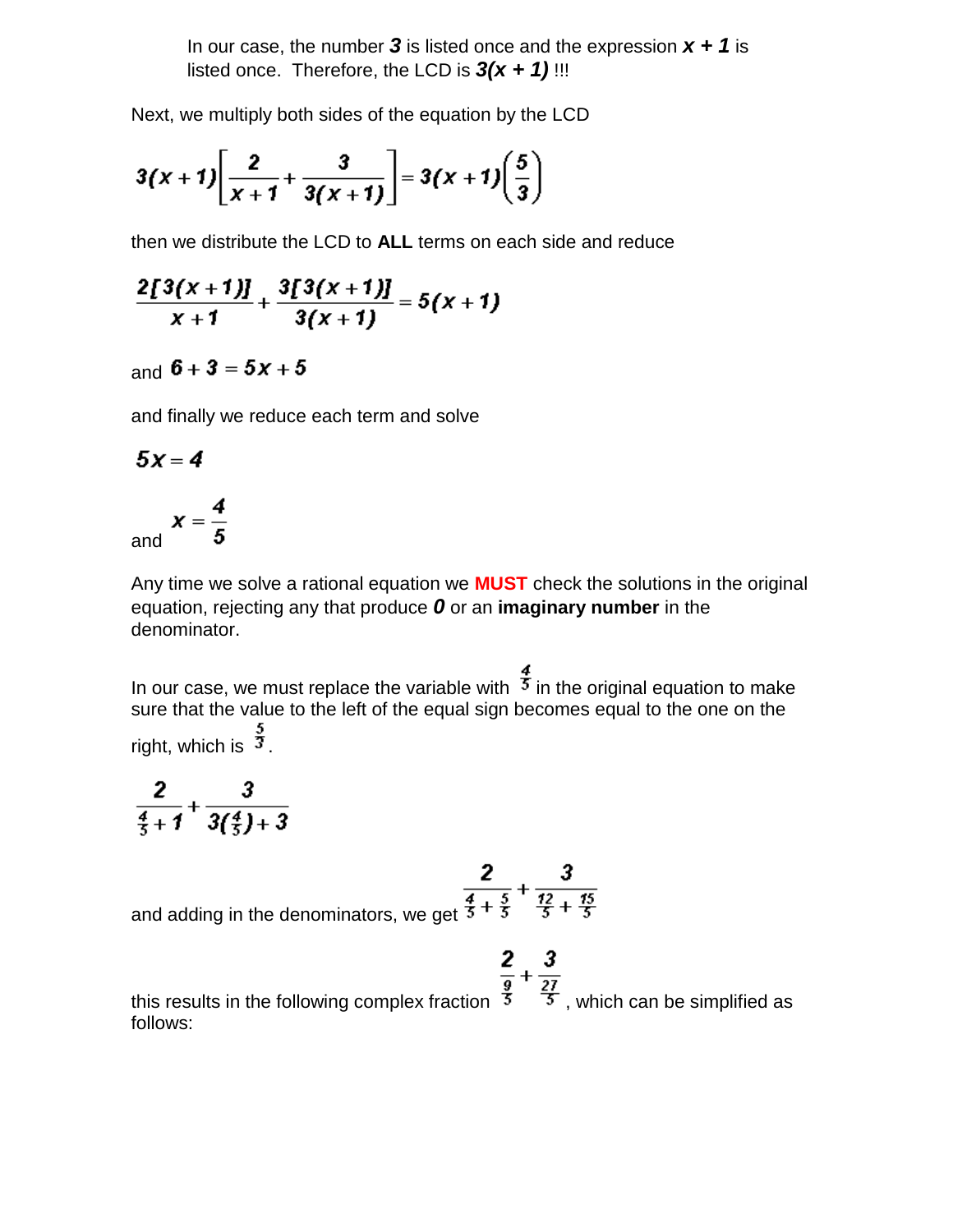In our case, the number  $3$  is listed once and the expression  $x + 1$  is listed once. Therefore, the LCD is  $3(x + 1)$ !!!

Next, we multiply both sides of the equation by the LCD

$$
3(x+1)\left[\frac{2}{x+1}+\frac{3}{3(x+1)}\right]=3(x+1)\left(\frac{5}{3}\right)
$$

then we distribute the LCD to **ALL** terms on each side and reduce

$$
\frac{2[3(x+1)]}{x+1}+\frac{3[3(x+1)]}{3(x+1)}=5(x+1)
$$

# and  $6 + 3 = 5x + 5$

and finally we reduce each term and solve

$$
5x=4
$$

and 
$$
x = \frac{4}{5}
$$

Any time we solve a rational equation we **MUST** check the solutions in the original equation, rejecting any that produce *0* or an **imaginary number** in the denominator.

In our case, we must replace the variable with  $\frac{4}{3}$  in the original equation to make sure that the value to the left of the equal sign becomes equal to the one on the right, which is  $\frac{3}{3}$ .

$$
\frac{2}{\frac{4}{5}+1}+\frac{3}{3(\frac{4}{5})+3}
$$

and adding in the denominators, we get  $\frac{2}{\frac{4}{5} + \frac{5}{3}} + \frac{3}{\frac{12}{5} + \frac{15}{5}}$ 

$$
\frac{2}{\frac{9}{2}}+\frac{3}{27}
$$

this results in the following complex fraction  $\overline{5}$ , which can be simplified as follows: